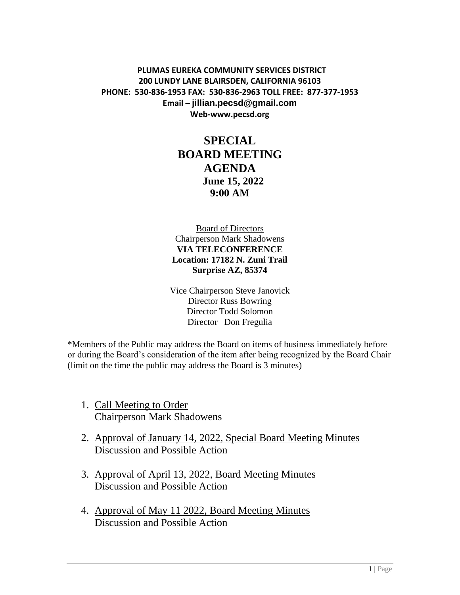#### **PLUMAS EUREKA COMMUNITY SERVICES DISTRICT 200 LUNDY LANE BLAIRSDEN, CALIFORNIA 96103 PHONE: 530-836-1953 FAX: 530-836-2963 TOLL FREE: 877-377-1953 Email – jillian.pecsd@gmail.com Web-www.pecsd.org**

# **SPECIAL BOARD MEETING AGENDA June 15, 2022 9:00 AM**

Board of Directors Chairperson Mark Shadowens **VIA TELECONFERENCE Location: 17182 N. Zuni Trail Surprise AZ, 85374**

Vice Chairperson Steve Janovick Director Russ Bowring Director Todd Solomon Director Don Fregulia

\*Members of the Public may address the Board on items of business immediately before or during the Board's consideration of the item after being recognized by the Board Chair (limit on the time the public may address the Board is 3 minutes)

- 1. Call Meeting to Order Chairperson Mark Shadowens
- 2. Approval of January 14, 2022, Special Board Meeting Minutes Discussion and Possible Action
- 3. Approval of April 13, 2022, Board Meeting Minutes Discussion and Possible Action
- 4. Approval of May 11 2022, Board Meeting Minutes Discussion and Possible Action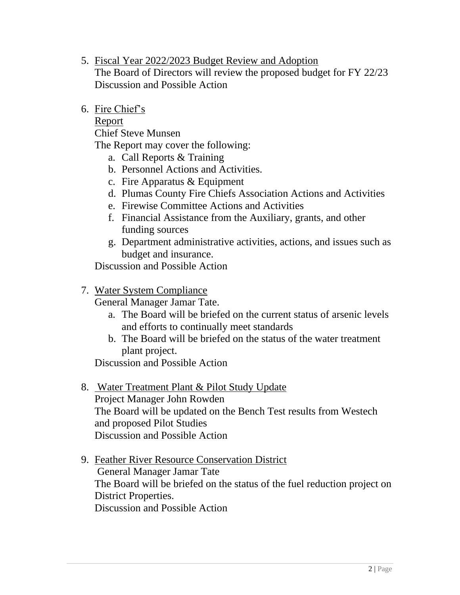- 5. Fiscal Year 2022/2023 Budget Review and Adoption The Board of Directors will review the proposed budget for FY 22/23 Discussion and Possible Action
- 6. Fire Chief's

Report

Chief Steve Munsen

The Report may cover the following:

- a. Call Reports & Training
- b. Personnel Actions and Activities.
- c. Fire Apparatus & Equipment
- d. Plumas County Fire Chiefs Association Actions and Activities
- e. Firewise Committee Actions and Activities
- f. Financial Assistance from the Auxiliary, grants, and other funding sources
- g. Department administrative activities, actions, and issues such as budget and insurance.

Discussion and Possible Action

# 7. Water System Compliance

General Manager Jamar Tate.

- a. The Board will be briefed on the current status of arsenic levels and efforts to continually meet standards
- b. The Board will be briefed on the status of the water treatment plant project.

Discussion and Possible Action

8. Water Treatment Plant & Pilot Study Update

Project Manager John Rowden The Board will be updated on the Bench Test results from Westech and proposed Pilot Studies Discussion and Possible Action

9. Feather River Resource Conservation District General Manager Jamar Tate The Board will be briefed on the status of the fuel reduction project on District Properties. Discussion and Possible Action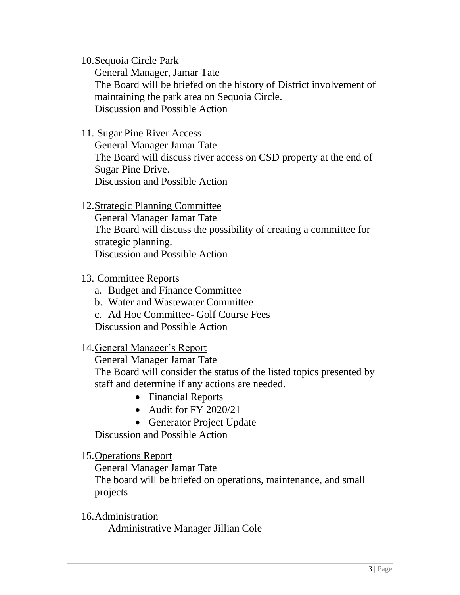## 10.Sequoia Circle Park

General Manager, Jamar Tate The Board will be briefed on the history of District involvement of maintaining the park area on Sequoia Circle. Discussion and Possible Action

## 11. Sugar Pine River Access

General Manager Jamar Tate The Board will discuss river access on CSD property at the end of Sugar Pine Drive. Discussion and Possible Action

### 12.Strategic Planning Committee

General Manager Jamar Tate The Board will discuss the possibility of creating a committee for strategic planning. Discussion and Possible Action

### 13. Committee Reports

- a. Budget and Finance Committee
- b. Water and Wastewater Committee
- c. Ad Hoc Committee- Golf Course Fees
- Discussion and Possible Action

### 14.General Manager's Report

General Manager Jamar Tate The Board will consider the status of the listed topics presented by

staff and determine if any actions are needed.

- Financial Reports
- Audit for FY 2020/21
- Generator Project Update

Discussion and Possible Action

## 15.Operations Report

General Manager Jamar Tate

The board will be briefed on operations, maintenance, and small projects

16.Administration Administrative Manager Jillian Cole